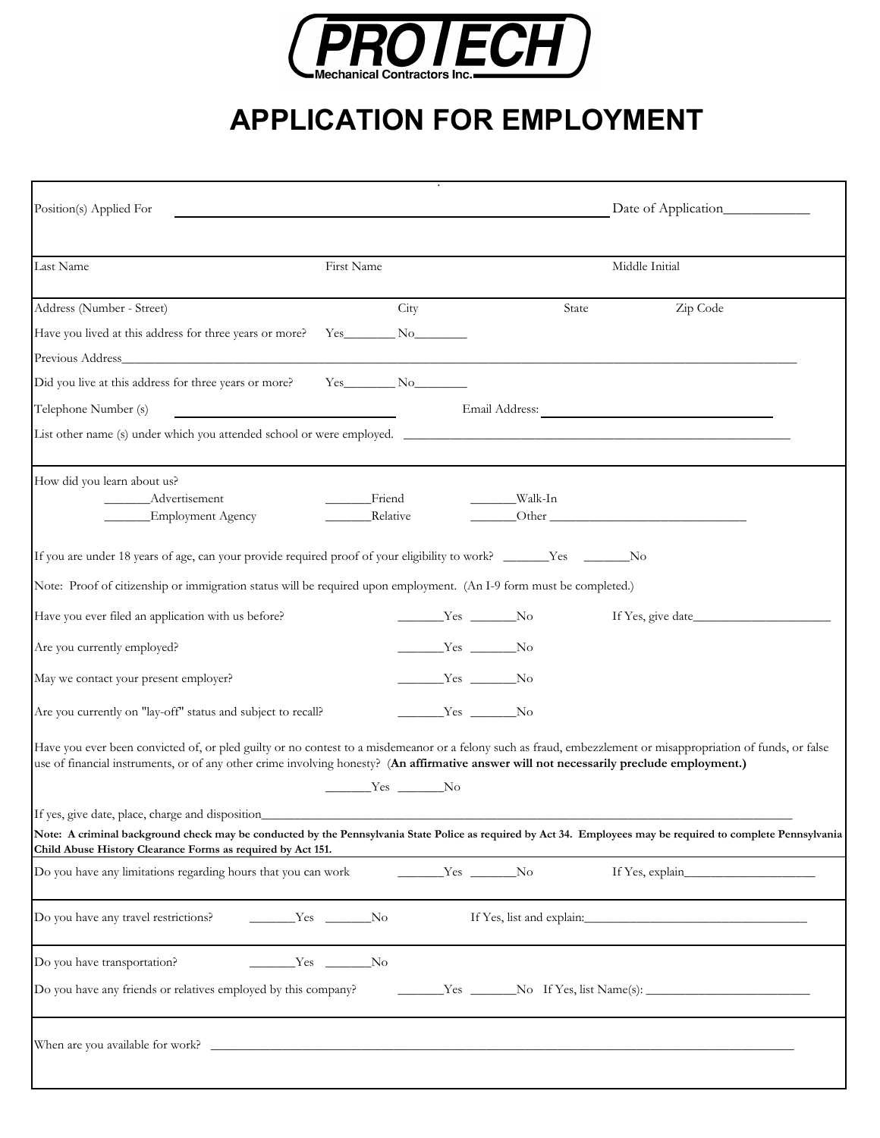

## **APPLICATION FOR EMPLOYMENT**

| Position(s) Applied For                                                                                                                                                                                                                                                                                   |                    |          |                   | Date of Application |  |
|-----------------------------------------------------------------------------------------------------------------------------------------------------------------------------------------------------------------------------------------------------------------------------------------------------------|--------------------|----------|-------------------|---------------------|--|
| Last Name                                                                                                                                                                                                                                                                                                 | First Name         |          |                   | Middle Initial      |  |
| Address (Number - Street)                                                                                                                                                                                                                                                                                 |                    | City     | State             | Zip Code            |  |
| Have you lived at this address for three years or more? Yes_________ No_________                                                                                                                                                                                                                          |                    |          |                   |                     |  |
| Previous Address                                                                                                                                                                                                                                                                                          |                    |          |                   |                     |  |
| Did you live at this address for three years or more?                                                                                                                                                                                                                                                     | $Yes$ No $No$      |          |                   |                     |  |
| Telephone Number (s)                                                                                                                                                                                                                                                                                      |                    |          |                   |                     |  |
| List other name (s) under which you attended school or were employed.                                                                                                                                                                                                                                     |                    |          |                   |                     |  |
| How did you learn about us?                                                                                                                                                                                                                                                                               |                    |          |                   |                     |  |
| Advertisement<br><b>Employment Agency</b>                                                                                                                                                                                                                                                                 | Friend<br>Relative |          | __________Walk-In |                     |  |
|                                                                                                                                                                                                                                                                                                           |                    |          |                   |                     |  |
| If you are under 18 years of age, can your provide required proof of your eligibility to work? ________Yes ________No                                                                                                                                                                                     |                    |          |                   |                     |  |
| Note: Proof of citizenship or immigration status will be required upon employment. (An I-9 form must be completed.)                                                                                                                                                                                       |                    |          |                   |                     |  |
| Have you ever filed an application with us before?                                                                                                                                                                                                                                                        |                    |          | $Yes$ No          | If Yes, give date   |  |
| Are you currently employed?                                                                                                                                                                                                                                                                               |                    | $Yes$ No |                   |                     |  |
| May we contact your present employer?                                                                                                                                                                                                                                                                     |                    | $Yes$ No |                   |                     |  |
| Are you currently on "lay-off" status and subject to recall?                                                                                                                                                                                                                                              |                    | $Yes$ No |                   |                     |  |
| Have you ever been convicted of, or pled guilty or no contest to a misdemeanor or a felony such as fraud, embezzlement or misappropriation of funds, or false<br>use of financial instruments, or of any other crime involving honesty? (An affirmative answer will not necessarily preclude employment.) | $Yes$ No           |          |                   |                     |  |
| If yes, give date, place, charge and disposition_                                                                                                                                                                                                                                                         |                    |          |                   |                     |  |
| Note: A criminal background check may be conducted by the Pennsylvania State Police as required by Act 34. Employees may be required to complete Pennsylvania<br>Child Abuse History Clearance Forms as required by Act 151.                                                                              |                    |          |                   |                     |  |
| Do you have any limitations regarding hours that you can work                                                                                                                                                                                                                                             |                    | $Yes$ No |                   |                     |  |
| Do you have any travel restrictions?                                                                                                                                                                                                                                                                      | $Yes \tNow No$     |          |                   |                     |  |
| Do you have transportation?                                                                                                                                                                                                                                                                               | $Yes$ No           |          |                   |                     |  |
| Do you have any friends or relatives employed by this company?                                                                                                                                                                                                                                            |                    |          |                   |                     |  |
|                                                                                                                                                                                                                                                                                                           |                    |          |                   |                     |  |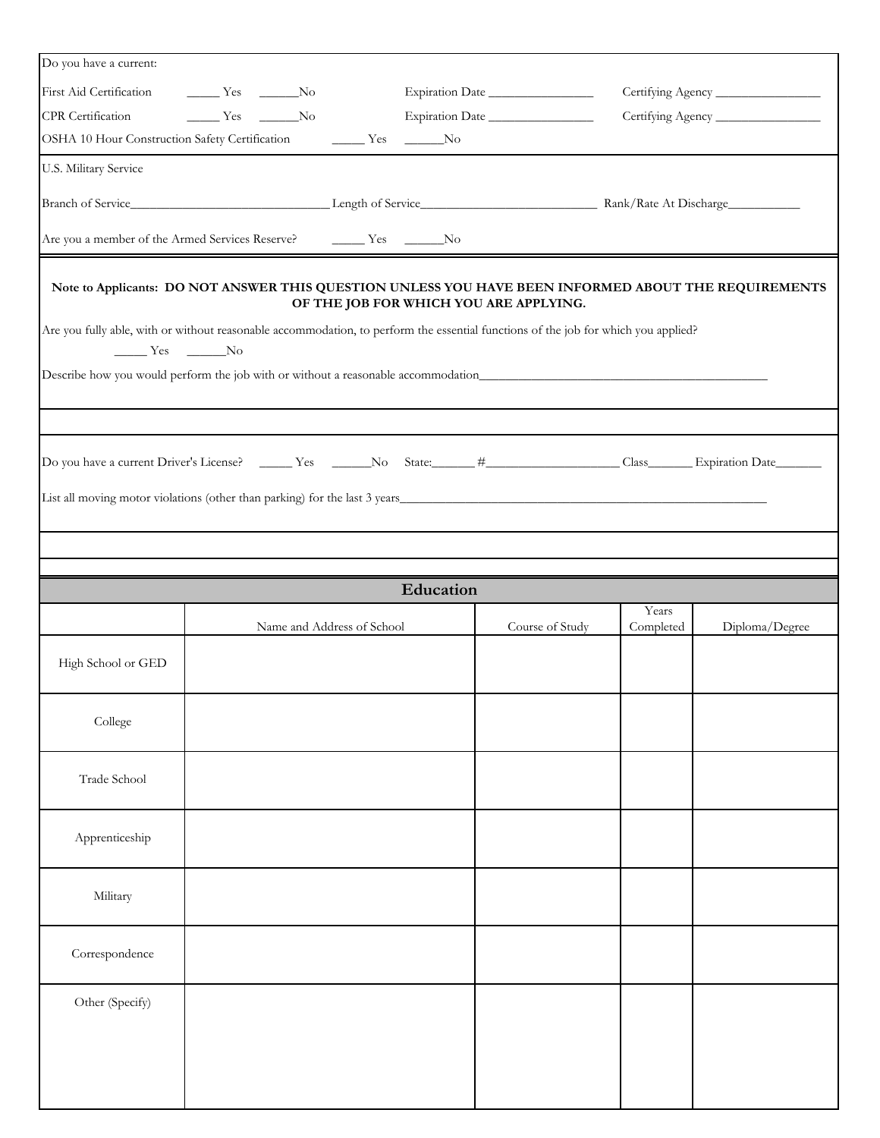| Do you have a current:                                                   |                                                                          |           |                                                                                                                                                |           |                |
|--------------------------------------------------------------------------|--------------------------------------------------------------------------|-----------|------------------------------------------------------------------------------------------------------------------------------------------------|-----------|----------------|
| First Aid Certification ________ Yes _______No                           |                                                                          |           | Expiration Date                                                                                                                                |           |                |
| CPR Certification                                                        | $\frac{1}{\sqrt{1-\frac{1}{2}}}$ Yes $\frac{1}{\sqrt{1-\frac{1}{2}}}$ No |           | Expiration Date                                                                                                                                |           |                |
|                                                                          | OSHA 10 Hour Construction Safety Certification Mess Mess Mo              |           |                                                                                                                                                |           |                |
| U.S. Military Service                                                    |                                                                          |           |                                                                                                                                                |           |                |
|                                                                          |                                                                          |           |                                                                                                                                                |           |                |
| Are you a member of the Armed Services Reserve?                          |                                                                          | $Yes$ No  |                                                                                                                                                |           |                |
|                                                                          |                                                                          |           | Note to Applicants: DO NOT ANSWER THIS QUESTION UNLESS YOU HAVE BEEN INFORMED ABOUT THE REQUIREMENTS<br>OF THE JOB FOR WHICH YOU ARE APPLYING. |           |                |
| $\frac{1}{\sqrt{1-\frac{1}{2}}}$ Yes $\frac{1}{\sqrt{1-\frac{1}{2}}}$ No |                                                                          |           | Are you fully able, with or without reasonable accommodation, to perform the essential functions of the job for which you applied?             |           |                |
|                                                                          |                                                                          |           |                                                                                                                                                |           |                |
|                                                                          |                                                                          |           |                                                                                                                                                |           |                |
|                                                                          |                                                                          |           |                                                                                                                                                |           |                |
|                                                                          |                                                                          |           | List all moving motor violations (other than parking) for the last 3 years                                                                     |           |                |
|                                                                          |                                                                          |           |                                                                                                                                                |           |                |
|                                                                          |                                                                          | Education |                                                                                                                                                |           |                |
|                                                                          |                                                                          |           |                                                                                                                                                | Years     |                |
|                                                                          |                                                                          |           |                                                                                                                                                |           |                |
| High School or GED                                                       | Name and Address of School                                               |           | Course of Study                                                                                                                                | Completed | Diploma/Degree |
| College                                                                  |                                                                          |           |                                                                                                                                                |           |                |
| Trade School                                                             |                                                                          |           |                                                                                                                                                |           |                |
| Apprenticeship                                                           |                                                                          |           |                                                                                                                                                |           |                |
| Military                                                                 |                                                                          |           |                                                                                                                                                |           |                |
| Correspondence                                                           |                                                                          |           |                                                                                                                                                |           |                |
| Other (Specify)                                                          |                                                                          |           |                                                                                                                                                |           |                |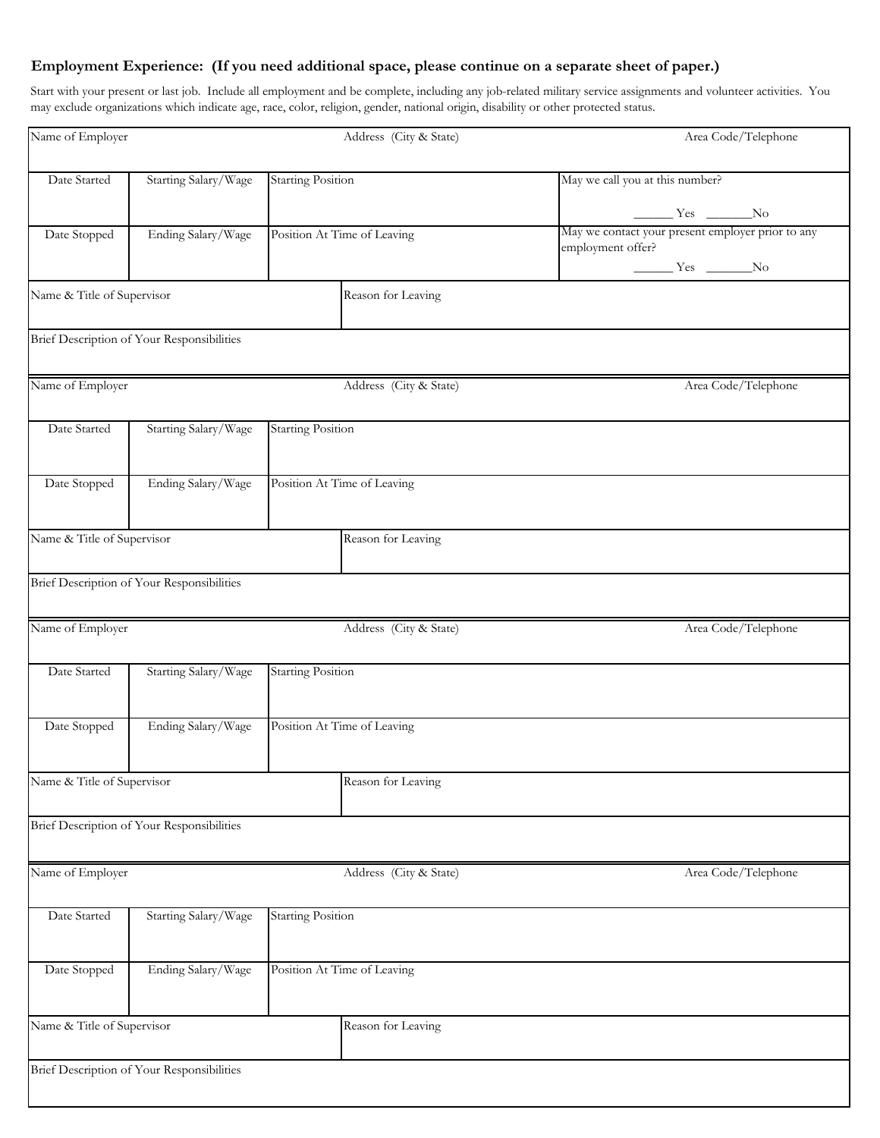## **Employment Experience: (If you need additional space, please continue on a separate sheet of paper.)**

Start with your present or last job. Include all employment and be complete, including any job-related military service assignments and volunteer activities. You may exclude organizations which indicate age, race, color, religion, gender, national origin, disability or other protected status.

| Name of Employer           |                                            |                             | Address (City & State) | Area Code/Telephone                                                                 |  |  |
|----------------------------|--------------------------------------------|-----------------------------|------------------------|-------------------------------------------------------------------------------------|--|--|
| Date Started               | Starting Salary/Wage                       | <b>Starting Position</b>    |                        | May we call you at this number?                                                     |  |  |
|                            |                                            |                             |                        | $\frac{1}{\sqrt{1-\frac{1}{2}}}\text{Yes } \frac{1}{\sqrt{1-\frac{1}{2}}}\text{No}$ |  |  |
| Date Stopped               | Ending Salary/Wage                         | Position At Time of Leaving |                        | May we contact your present employer prior to any<br>employment offer?              |  |  |
|                            |                                            |                             |                        | $\frac{1}{\sqrt{1-\frac{1}{2}}}\text{Yes } \frac{1}{\sqrt{1-\frac{1}{2}}}\text{No}$ |  |  |
| Name & Title of Supervisor |                                            |                             | Reason for Leaving     |                                                                                     |  |  |
|                            | Brief Description of Your Responsibilities |                             |                        |                                                                                     |  |  |
| Name of Employer           |                                            |                             | Address (City & State) | Area Code/Telephone                                                                 |  |  |
| Date Started               | Starting Salary/Wage                       | <b>Starting Position</b>    |                        |                                                                                     |  |  |
| Date Stopped               | Ending Salary/Wage                         | Position At Time of Leaving |                        |                                                                                     |  |  |
| Name & Title of Supervisor |                                            |                             | Reason for Leaving     |                                                                                     |  |  |
|                            | Brief Description of Your Responsibilities |                             |                        |                                                                                     |  |  |
| Name of Employer           |                                            |                             | Address (City & State) | Area Code/Telephone                                                                 |  |  |
| Date Started               | Starting Salary/Wage                       | <b>Starting Position</b>    |                        |                                                                                     |  |  |
| Date Stopped               | Ending Salary/Wage                         | Position At Time of Leaving |                        |                                                                                     |  |  |
| Name & Title of Supervisor |                                            |                             | Reason for Leaving     |                                                                                     |  |  |
|                            | Brief Description of Your Responsibilities |                             |                        |                                                                                     |  |  |
| Name of Employer           |                                            |                             | Address (City & State) | Area Code/Telephone                                                                 |  |  |
| Date Started               | Starting Salary/Wage                       | <b>Starting Position</b>    |                        |                                                                                     |  |  |
| Date Stopped               | Ending Salary/Wage                         | Position At Time of Leaving |                        |                                                                                     |  |  |
| Name & Title of Supervisor |                                            |                             | Reason for Leaving     |                                                                                     |  |  |
|                            | Brief Description of Your Responsibilities |                             |                        |                                                                                     |  |  |